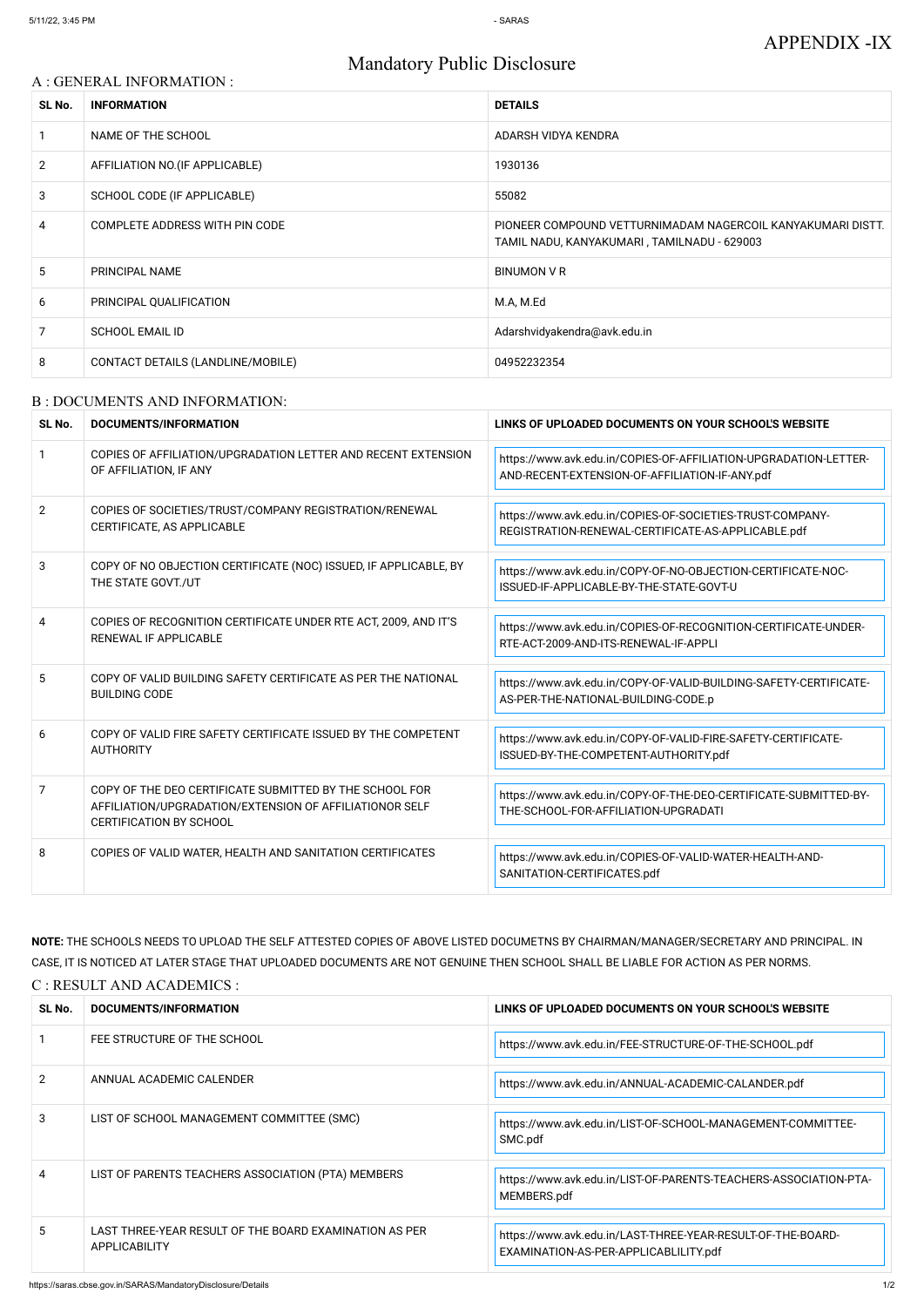# Mandatory Public Disclosure

### A : GENERAL INFORMATION :

| SL No.         | <b>INFORMATION</b>                | <b>DETAILS</b>                                                                                             |
|----------------|-----------------------------------|------------------------------------------------------------------------------------------------------------|
|                | NAME OF THE SCHOOL                | ADARSH VIDYA KENDRA                                                                                        |
| $\overline{2}$ | AFFILIATION NO. (IF APPLICABLE)   | 1930136                                                                                                    |
| 3              | SCHOOL CODE (IF APPLICABLE)       | 55082                                                                                                      |
| 4              | COMPLETE ADDRESS WITH PIN CODE    | PIONEER COMPOUND VETTURNIMADAM NAGERCOIL KANYAKUMARI DISTT.<br>TAMIL NADU, KANYAKUMARI, TAMILNADU - 629003 |
| 5.             | PRINCIPAL NAME                    | BINUMON V R                                                                                                |
| 6              | PRINCIPAL QUALIFICATION           | M.A, M.Ed                                                                                                  |
| 7              | <b>SCHOOL EMAIL ID</b>            | Adarshvidyakendra@avk.edu.in                                                                               |
| 8              | CONTACT DETAILS (LANDLINE/MOBILE) | 04952232354                                                                                                |

#### B : DOCUMENTS AND INFORMATION:

| SL No.         | DOCUMENTS/INFORMATION                                                                                                                                | LINKS OF UPLOADED DOCUMENTS ON YOUR SCHOOL'S WEBSITE                                                               |
|----------------|------------------------------------------------------------------------------------------------------------------------------------------------------|--------------------------------------------------------------------------------------------------------------------|
| $\mathbf{1}$   | COPIES OF AFFILIATION/UPGRADATION LETTER AND RECENT EXTENSION<br>OF AFFILIATION, IF ANY                                                              | https://www.avk.edu.in/COPIES-OF-AFFILIATION-UPGRADATION-LETTER-<br>AND-RECENT-EXTENSION-OF-AFFILIATION-IF-ANY.pdf |
| $\overline{2}$ | COPIES OF SOCIETIES/TRUST/COMPANY REGISTRATION/RENEWAL<br>CERTIFICATE, AS APPLICABLE                                                                 | https://www.avk.edu.in/COPIES-OF-SOCIETIES-TRUST-COMPANY-<br>REGISTRATION-RENEWAL-CERTIFICATE-AS-APPLICABLE.pdf    |
| 3              | COPY OF NO OBJECTION CERTIFICATE (NOC) ISSUED, IF APPLICABLE, BY<br>THE STATE GOVT./UT                                                               | https://www.avk.edu.in/COPY-OF-NO-OBJECTION-CERTIFICATE-NOC-<br>ISSUED-IF-APPLICABLE-BY-THE-STATE-GOVT-U           |
| 4              | COPIES OF RECOGNITION CERTIFICATE UNDER RTE ACT, 2009, AND IT'S<br>RENEWAL IF APPLICABLE                                                             | https://www.avk.edu.in/COPIES-OF-RECOGNITION-CERTIFICATE-UNDER-<br>RTE-ACT-2009-AND-ITS-RENEWAL-IF-APPLI           |
| 5              | COPY OF VALID BUILDING SAFETY CERTIFICATE AS PER THE NATIONAL<br><b>BUILDING CODE</b>                                                                | https://www.avk.edu.in/COPY-OF-VALID-BUILDING-SAFETY-CERTIFICATE-<br>AS-PER-THE-NATIONAL-BUILDING-CODE.p           |
| 6              | COPY OF VALID FIRE SAFETY CERTIFICATE ISSUED BY THE COMPETENT<br><b>AUTHORITY</b>                                                                    | https://www.avk.edu.in/COPY-OF-VALID-FIRE-SAFETY-CERTIFICATE-<br>ISSUED-BY-THE-COMPETENT-AUTHORITY.pdf             |
| 7              | COPY OF THE DEO CERTIFICATE SUBMITTED BY THE SCHOOL FOR<br>AFFILIATION/UPGRADATION/EXTENSION OF AFFILIATIONOR SELF<br><b>CERTIFICATION BY SCHOOL</b> | https://www.avk.edu.in/COPY-OF-THE-DEO-CERTIFICATE-SUBMITTED-BY-<br>THE-SCHOOL-FOR-AFFILIATION-UPGRADATI           |
| 8              | COPIES OF VALID WATER, HEALTH AND SANITATION CERTIFICATES                                                                                            | https://www.avk.edu.in/COPIES-OF-VALID-WATER-HEALTH-AND-<br>SANITATION-CERTIFICATES.pdf                            |

**NOTE:** THE SCHOOLS NEEDS TO UPLOAD THE SELF ATTESTED COPIES OF ABOVE LISTED DOCUMETNS BY CHAIRMAN/MANAGER/SECRETARY AND PRINCIPAL. IN CASE, IT IS NOTICED AT LATER STAGE THAT UPLOADED DOCUMENTS ARE NOT GENUINE THEN SCHOOL SHALL BE LIABLE FOR ACTION AS PER NORMS. C : RESULT AND ACADEMICS :

| SL No.        | DOCUMENTS/INFORMATION                                                          | LINKS OF UPLOADED DOCUMENTS ON YOUR SCHOOL'S WEBSITE                                                 |
|---------------|--------------------------------------------------------------------------------|------------------------------------------------------------------------------------------------------|
|               | FEE STRUCTURE OF THE SCHOOL                                                    | https://www.avk.edu.in/FEE-STRUCTURE-OF-THE-SCHOOL.pdf                                               |
| $\mathcal{P}$ | ANNUAL ACADEMIC CALENDER                                                       | https://www.avk.edu.in/ANNUAL-ACADEMIC-CALANDER.pdf                                                  |
| 3             | LIST OF SCHOOL MANAGEMENT COMMITTEE (SMC)                                      | https://www.avk.edu.in/LIST-OF-SCHOOL-MANAGEMENT-COMMITTEE-<br>SMC.pdf                               |
|               | LIST OF PARENTS TEACHERS ASSOCIATION (PTA) MEMBERS                             | https://www.avk.edu.in/LIST-OF-PARENTS-TEACHERS-ASSOCIATION-PTA-<br>MEMBERS.pdf                      |
| 5             | LAST THREE-YEAR RESULT OF THE BOARD EXAMINATION AS PER<br><b>APPLICABILITY</b> | https://www.avk.edu.in/LAST-THREE-YEAR-RESULT-OF-THE-BOARD-<br>EXAMINATION-AS-PER-APPLICABLILITY.pdf |